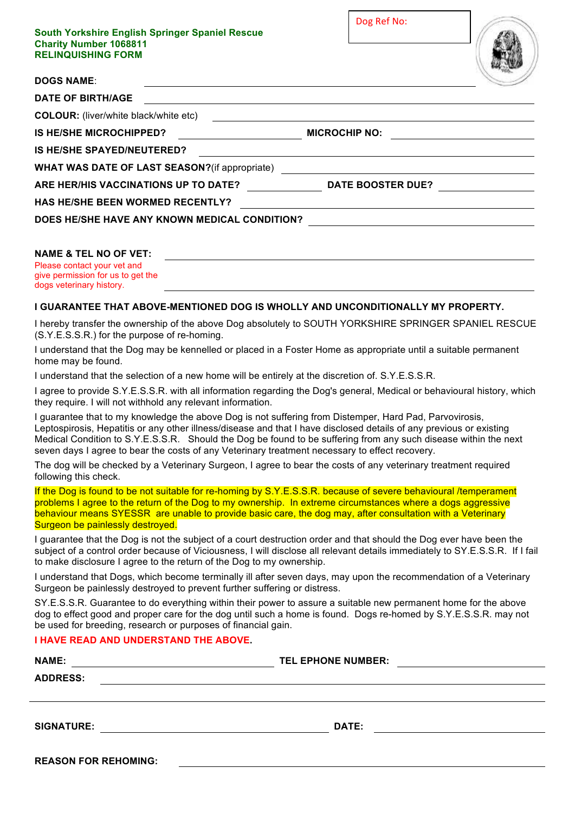| South Yorkshire English Springer Spaniel Rescue<br><b>Charity Number 1068811</b><br><b>RELINQUISHING FORM</b> | Dog Ref No:                                                                                                                                                                                                                          |  |
|---------------------------------------------------------------------------------------------------------------|--------------------------------------------------------------------------------------------------------------------------------------------------------------------------------------------------------------------------------------|--|
| <b>DOGS NAME:</b>                                                                                             |                                                                                                                                                                                                                                      |  |
| <b>DATE OF BIRTH/AGE</b>                                                                                      | <u> 1989 - Johann Stein, marwolaethau a bhann an t-Amhain Aonaichte ann an t-Amhain Aonaichte ann an t-Amhain Aon</u>                                                                                                                |  |
| <b>COLOUR:</b> (liver/white black/white etc)                                                                  | <u> 1980 - Andrea Station Barbara, amerikan personal (h. 1980).</u>                                                                                                                                                                  |  |
| <b>IS HE/SHE MICROCHIPPED?</b>                                                                                | <b>MICROCHIP NO:</b>                                                                                                                                                                                                                 |  |
| <b>IS HE/SHE SPAYED/NEUTERED?</b>                                                                             | <u> 1989 - John Stein, september 1989 - John Stein, september 1989 - John Stein, september 1989 - John Stein, sep</u>                                                                                                                |  |
| WHAT WAS DATE OF LAST SEASON?(if appropriate) __________________________________                              |                                                                                                                                                                                                                                      |  |
| ARE HER/HIS VACCINATIONS UP TO DATE? DATE BOOSTER DUE?                                                        |                                                                                                                                                                                                                                      |  |
| <b>HAS HE/SHE BEEN WORMED RECENTLY?</b>                                                                       | <u>and the state of the state of the state of the state of the state of the state of the state of the state of the state of the state of the state of the state of the state of the state of the state of the state of the state</u> |  |
| DOES HE/SHE HAVE ANY KNOWN MEDICAL CONDITION?                                                                 |                                                                                                                                                                                                                                      |  |
| <b>NAME &amp; TEL NO OF VET:</b><br>Please contact your vet and<br>give permission for us to get the          |                                                                                                                                                                                                                                      |  |

## **I GUARANTEE THAT ABOVE-MENTIONED DOG IS WHOLLY AND UNCONDITIONALLY MY PROPERTY.**

I hereby transfer the ownership of the above Dog absolutely to SOUTH YORKSHIRE SPRINGER SPANIEL RESCUE (S.Y.E.S.S.R.) for the purpose of re-homing.

I understand that the Dog may be kennelled or placed in a Foster Home as appropriate until a suitable permanent home may be found.

I understand that the selection of a new home will be entirely at the discretion of. S.Y.E.S.S.R.

I agree to provide S.Y.E.S.S.R. with all information regarding the Dog's general, Medical or behavioural history, which they require. I will not withhold any relevant information.

I guarantee that to my knowledge the above Dog is not suffering from Distemper, Hard Pad, Parvovirosis, Leptospirosis, Hepatitis or any other illness/disease and that I have disclosed details of any previous or existing Medical Condition to S.Y.E.S.S.R. Should the Dog be found to be suffering from any such disease within the next seven days I agree to bear the costs of any Veterinary treatment necessary to effect recovery.

The dog will be checked by a Veterinary Surgeon, I agree to bear the costs of any veterinary treatment required following this check.

If the Dog is found to be not suitable for re-homing by S.Y.E.S.S.R. because of severe behavioural /temperament problems I agree to the return of the Dog to my ownership. In extreme circumstances where a dogs aggressive behaviour means SYESSR are unable to provide basic care, the dog may, after consultation with a Veterinary Surgeon be painlessly destroyed.

I guarantee that the Dog is not the subject of a court destruction order and that should the Dog ever have been the subject of a control order because of Viciousness, I will disclose all relevant details immediately to SY.E.S.S.R. If I fail to make disclosure I agree to the return of the Dog to my ownership.

I understand that Dogs, which become terminally ill after seven days, may upon the recommendation of a Veterinary Surgeon be painlessly destroyed to prevent further suffering or distress.

SY.E.S.S.R. Guarantee to do everything within their power to assure a suitable new permanent home for the above dog to effect good and proper care for the dog until such a home is found. Dogs re-homed by S.Y.E.S.S.R. may not be used for breeding, research or purposes of financial gain.

## **I HAVE READ AND UNDERSTAND THE ABOVE.**

| <b>TEL EPHONE NUMBER:</b> |  |
|---------------------------|--|
|                           |  |
|                           |  |
|                           |  |
| DATE:                     |  |
|                           |  |
|                           |  |

| <b>REASON FOR REHOMING:</b> |  |
|-----------------------------|--|
|-----------------------------|--|

dogs veterinary history.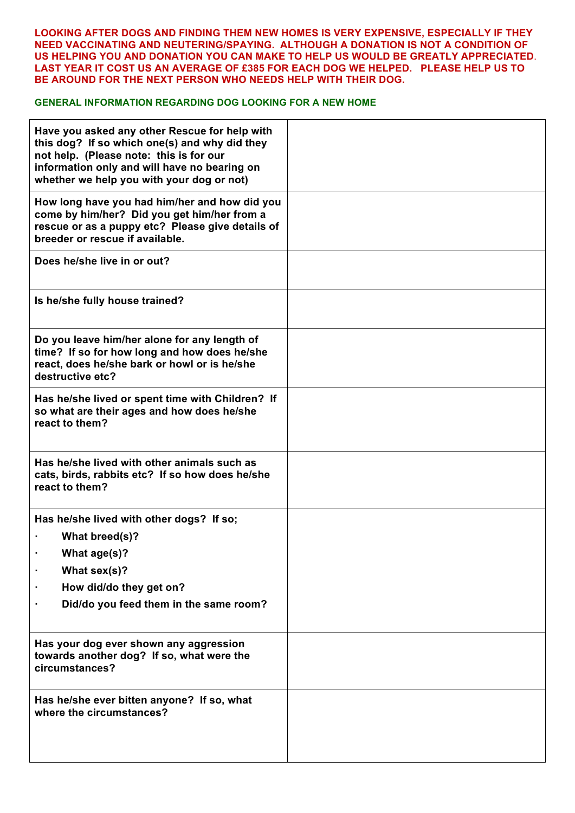## **LOOKING AFTER DOGS AND FINDING THEM NEW HOMES IS VERY EXPENSIVE, ESPECIALLY IF THEY NEED VACCINATING AND NEUTERING/SPAYING. ALTHOUGH A DONATION IS NOT A CONDITION OF US HELPING YOU AND DONATION YOU CAN MAKE TO HELP US WOULD BE GREATLY APPRECIATED**. **LAST YEAR IT COST US AN AVERAGE OF £385 FOR EACH DOG WE HELPED. PLEASE HELP US TO BE AROUND FOR THE NEXT PERSON WHO NEEDS HELP WITH THEIR DOG.**

## **GENERAL INFORMATION REGARDING DOG LOOKING FOR A NEW HOME**

| Have you asked any other Rescue for help with<br>this dog? If so which one(s) and why did they<br>not help. (Please note: this is for our<br>information only and will have no bearing on<br>whether we help you with your dog or not) |  |
|----------------------------------------------------------------------------------------------------------------------------------------------------------------------------------------------------------------------------------------|--|
| How long have you had him/her and how did you<br>come by him/her? Did you get him/her from a<br>rescue or as a puppy etc? Please give details of<br>breeder or rescue if available.                                                    |  |
| Does he/she live in or out?                                                                                                                                                                                                            |  |
| Is he/she fully house trained?                                                                                                                                                                                                         |  |
| Do you leave him/her alone for any length of<br>time? If so for how long and how does he/she<br>react, does he/she bark or howl or is he/she<br>destructive etc?                                                                       |  |
| Has he/she lived or spent time with Children? If<br>so what are their ages and how does he/she<br>react to them?                                                                                                                       |  |
| Has he/she lived with other animals such as<br>cats, birds, rabbits etc? If so how does he/she<br>react to them?                                                                                                                       |  |
| Has he/she lived with other dogs? If so;<br>What breed(s)?<br>What age(s)?<br>What sex(s)?<br>How did/do they get on?<br>Did/do you feed them in the same room?                                                                        |  |
| Has your dog ever shown any aggression<br>towards another dog? If so, what were the<br>circumstances?                                                                                                                                  |  |
| Has he/she ever bitten anyone? If so, what<br>where the circumstances?                                                                                                                                                                 |  |